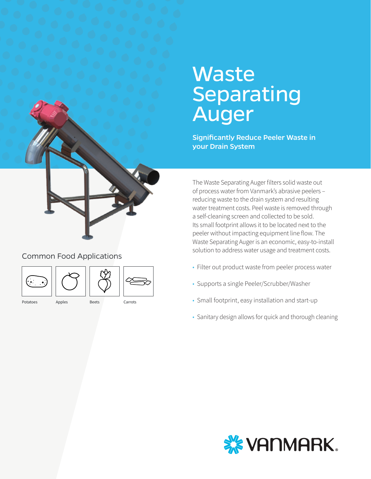# **Waste** Separating Auger

Significantly Reduce Peeler Waste in your Drain System

The Waste Separating Auger filters solid waste out of process water from Vanmark's abrasive peelers – reducing waste to the drain system and resulting water treatment costs. Peel waste is removed through a self-cleaning screen and collected to be sold. Its small footprint allows it to be located next to the peeler without impacting equipment line flow. The Waste Separating Auger is an economic, easy-to-install solution to address water usage and treatment costs.

- Filter out product waste from peeler process water
- Supports a single Peeler/Scrubber/Washer
- Small footprint, easy installation and start-up
- Sanitary design allows for quick and thorough cleaning



### Common Food Applications